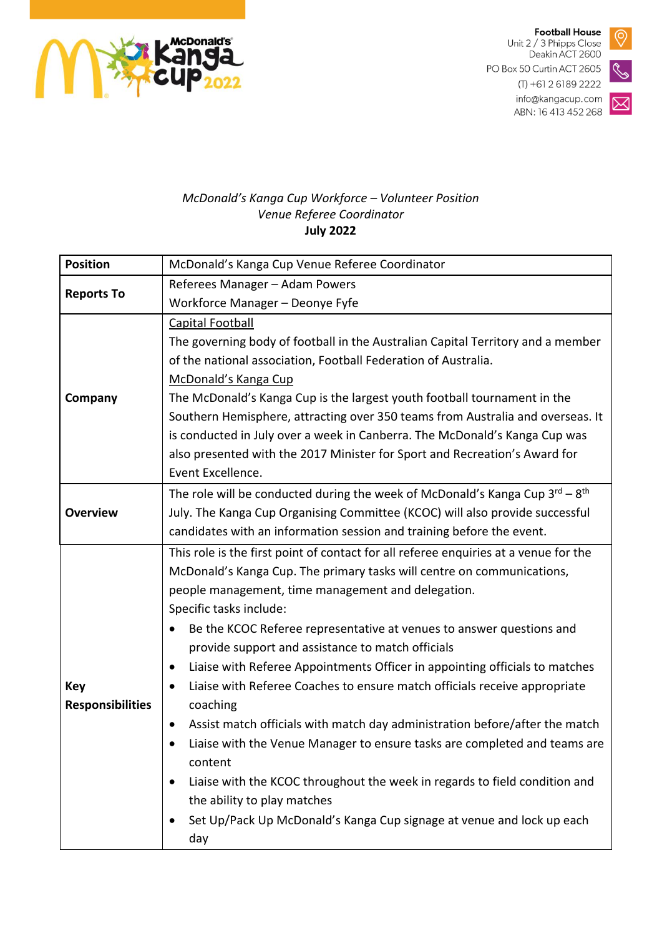

**Football House** Unit 2 / 3 Phipps Close

Deakin ACT 2600 PO Box 50 Curtin ACT 2605



 $(T) + 61261892222$ info@kangacup.com ABN: 16 413 452 268

## $\boxtimes$

## McDonald's Kanga Cup Workforce - Volunteer Position Venue Referee Coordinator **July 2022**

| <b>Position</b>         | McDonald's Kanga Cup Venue Referee Coordinator                                           |
|-------------------------|------------------------------------------------------------------------------------------|
| <b>Reports To</b>       | Referees Manager - Adam Powers                                                           |
|                         | Workforce Manager - Deonye Fyfe                                                          |
| Company                 | <b>Capital Football</b>                                                                  |
|                         | The governing body of football in the Australian Capital Territory and a member          |
|                         | of the national association, Football Federation of Australia.                           |
|                         | McDonald's Kanga Cup                                                                     |
|                         | The McDonald's Kanga Cup is the largest youth football tournament in the                 |
|                         | Southern Hemisphere, attracting over 350 teams from Australia and overseas. It           |
|                         | is conducted in July over a week in Canberra. The McDonald's Kanga Cup was               |
|                         | also presented with the 2017 Minister for Sport and Recreation's Award for               |
|                         | Event Excellence.                                                                        |
| <b>Overview</b>         | The role will be conducted during the week of McDonald's Kanga Cup $3^{rd} - 8^{th}$     |
|                         | July. The Kanga Cup Organising Committee (KCOC) will also provide successful             |
|                         | candidates with an information session and training before the event.                    |
|                         | This role is the first point of contact for all referee enquiries at a venue for the     |
|                         | McDonald's Kanga Cup. The primary tasks will centre on communications,                   |
|                         | people management, time management and delegation.                                       |
|                         | Specific tasks include:                                                                  |
|                         | Be the KCOC Referee representative at venues to answer questions and                     |
|                         | provide support and assistance to match officials                                        |
|                         | Liaise with Referee Appointments Officer in appointing officials to matches<br>٠         |
| <b>Key</b>              | Liaise with Referee Coaches to ensure match officials receive appropriate<br>$\bullet$   |
| <b>Responsibilities</b> | coaching                                                                                 |
|                         | Assist match officials with match day administration before/after the match<br>$\bullet$ |
|                         | Liaise with the Venue Manager to ensure tasks are completed and teams are                |
|                         | content                                                                                  |
|                         | Liaise with the KCOC throughout the week in regards to field condition and               |
|                         | the ability to play matches                                                              |
|                         | Set Up/Pack Up McDonald's Kanga Cup signage at venue and lock up each<br>٠               |
|                         | day                                                                                      |